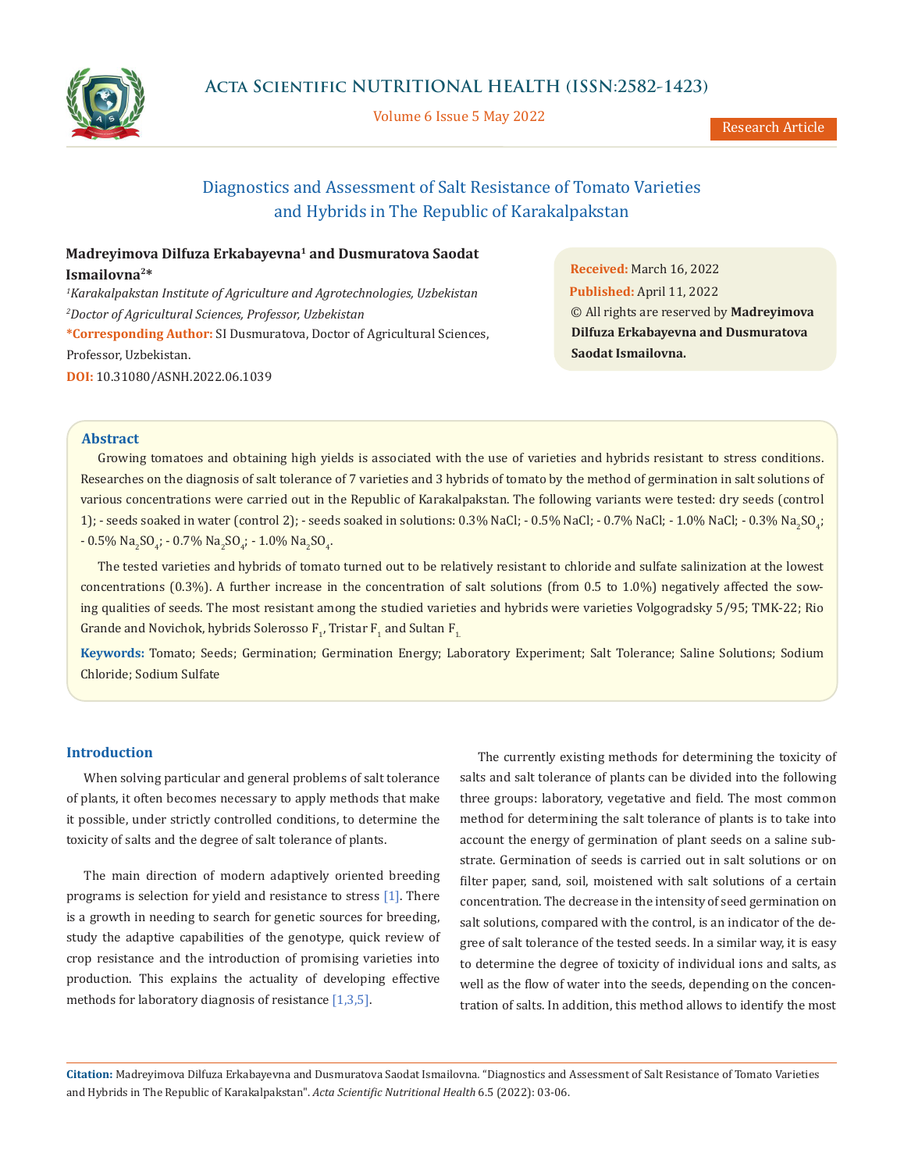

Volume 6 Issue 5 May 2022

# Diagnostics and Assessment of Salt Resistance of Tomato Varieties and Hybrids in The Republic of Karakalpakstan

# **Madreyimova Dilfuza Erkabayevna1 and Dusmuratova Saodat Ismailovna2\***

*1 Karakalpakstan Institute of Agriculture and Agrotechnologies, Uzbekistan 2 Doctor of Agricultural Sciences, Professor, Uzbekistan* **\*Corresponding Author:** SI Dusmuratova, Doctor of Agricultural Sciences, Professor, Uzbekistan. **DOI:** [10.31080/ASNH.2022.06.1039](https://actascientific.com/ASNH/pdf/ASNH-06-1039.pdf)

**Received:** March 16, 2022 **Published:** April 11, 2022 © All rights are reserved by **Madreyimova Dilfuza Erkabayevna and Dusmuratova Saodat Ismailovna.**

# **Abstract**

Growing tomatoes and obtaining high yields is associated with the use of varieties and hybrids resistant to stress conditions. Researches on the diagnosis of salt tolerance of 7 varieties and 3 hybrids of tomato by the method of germination in salt solutions of various concentrations were carried out in the Republic of Karakalpakstan. The following variants were tested: dry seeds (control 1); - seeds soaked in water (control 2); - seeds soaked in solutions: 0.3% NaCl; - 0.5% NaCl; - 0.7% NaCl; - 1.0% NaLl; - 0.3% Na<sub>2</sub>SO<sub>4</sub>; - 0.5%  $\text{Na}_2\text{SO}_4$ ; - 0.7%  $\text{Na}_2\text{SO}_4$ ; - 1.0%  $\text{Na}_2\text{SO}_4$ .

The tested varieties and hybrids of tomato turned out to be relatively resistant to chloride and sulfate salinization at the lowest concentrations (0.3%). A further increase in the concentration of salt solutions (from 0.5 to 1.0%) negatively affected the sowing qualities of seeds. The most resistant among the studied varieties and hybrids were varieties Volgogradsky 5/95; TMK-22; Rio Grande and Novichok, hybrids Solerosso  ${\tt F}_{1'}$  Tristar  ${\tt F}_{1}$  and Sultan  ${\tt F}_{1.}$ 

**Keywords:** Tomato; Seeds; Germination; Germination Energy; Laboratory Experiment; Salt Tolerance; Saline Solutions; Sodium Chloride; Sodium Sulfate

# **Introduction**

When solving particular and general problems of salt tolerance of plants, it often becomes necessary to apply methods that make it possible, under strictly controlled conditions, to determine the toxicity of salts and the degree of salt tolerance of plants.

The main direction of modern adaptively oriented breeding programs is selection for yield and resistance to stress [1]. There is a growth in needing to search for genetic sources for breeding, study the adaptive capabilities of the genotype, quick review of crop resistance and the introduction of promising varieties into production. This explains the actuality of developing effective methods for laboratory diagnosis of resistance [1,3,5].

The currently existing methods for determining the toxicity of salts and salt tolerance of plants can be divided into the following three groups: laboratory, vegetative and field. The most common method for determining the salt tolerance of plants is to take into account the energy of germination of plant seeds on a saline substrate. Germination of seeds is carried out in salt solutions or on filter paper, sand, soil, moistened with salt solutions of a certain concentration. The decrease in the intensity of seed germination on salt solutions, compared with the control, is an indicator of the degree of salt tolerance of the tested seeds. In a similar way, it is easy to determine the degree of toxicity of individual ions and salts, as well as the flow of water into the seeds, depending on the concentration of salts. In addition, this method allows to identify the most

**Citation:** Madreyimova Dilfuza Erkabayevna and Dusmuratova Saodat Ismailovna*.* "Diagnostics and Assessment of Salt Resistance of Tomato Varieties and Hybrids in The Republic of Karakalpakstan". *Acta Scientific Nutritional Health* 6.5 (2022): 03-06.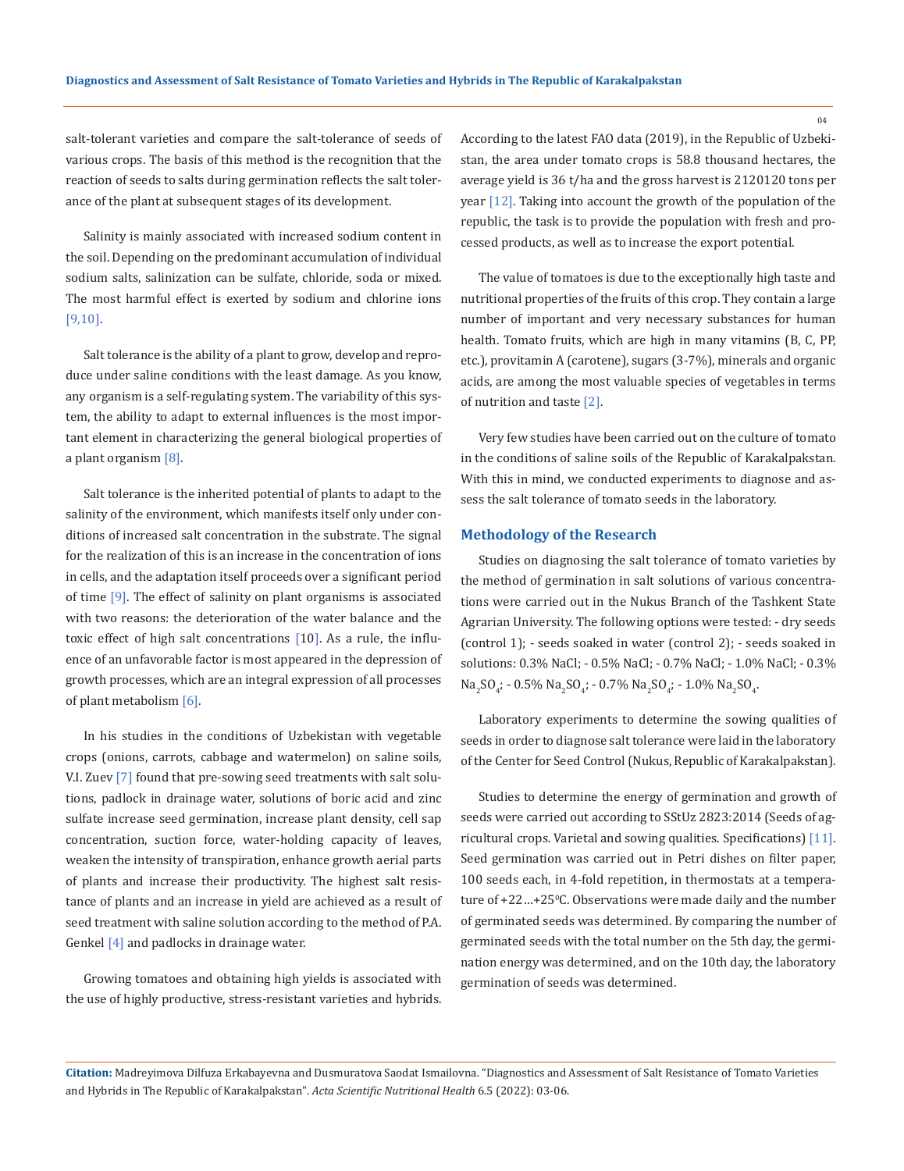salt-tolerant varieties and compare the salt-tolerance of seeds of various crops. The basis of this method is the recognition that the reaction of seeds to salts during germination reflects the salt tolerance of the plant at subsequent stages of its development.

Salinity is mainly associated with increased sodium content in the soil. Depending on the predominant accumulation of individual sodium salts, salinization can be sulfate, chloride, soda or mixed. The most harmful effect is exerted by sodium and chlorine ions [9,10].

Salt tolerance is the ability of a plant to grow, develop and reproduce under saline conditions with the least damage. As you know, any organism is a self-regulating system. The variability of this system, the ability to adapt to external influences is the most important element in characterizing the general biological properties of a plant organism [8].

Salt tolerance is the inherited potential of plants to adapt to the salinity of the environment, which manifests itself only under conditions of increased salt concentration in the substrate. The signal for the realization of this is an increase in the concentration of ions in cells, and the adaptation itself proceeds over a significant period of time  $[9]$ . The effect of salinity on plant organisms is associated with two reasons: the deterioration of the water balance and the toxic effect of high salt concentrations [10]. As a rule, the influence of an unfavorable factor is most appeared in the depression of growth processes, which are an integral expression of all processes of plant metabolism [6].

In his studies in the conditions of Uzbekistan with vegetable crops (onions, carrots, cabbage and watermelon) on saline soils, V.I. Zuev [7] found that pre-sowing seed treatments with salt solutions, padlock in drainage water, solutions of boric acid and zinc sulfate increase seed germination, increase plant density, cell sap concentration, suction force, water-holding capacity of leaves, weaken the intensity of transpiration, enhance growth aerial parts of plants and increase their productivity. The highest salt resistance of plants and an increase in yield are achieved as a result of seed treatment with saline solution according to the method of P.A. Genkel [4] and padlocks in drainage water.

Growing tomatoes and obtaining high yields is associated with the use of highly productive, stress-resistant varieties and hybrids. According to the latest FAO data (2019), in the Republic of Uzbekistan, the area under tomato crops is 58.8 thousand hectares, the average yield is 36 t/ha and the gross harvest is 2120120 tons per year [12]. Taking into account the growth of the population of the republic, the task is to provide the population with fresh and processed products, as well as to increase the export potential.

The value of tomatoes is due to the exceptionally high taste and nutritional properties of the fruits of this crop. They contain a large number of important and very necessary substances for human health. Tomato fruits, which are high in many vitamins (B, C, PP, etc.), provitamin A (carotene), sugars (3-7%), minerals and organic acids, are among the most valuable species of vegetables in terms of nutrition and taste [2].

Very few studies have been carried out on the culture of tomato in the conditions of saline soils of the Republic of Karakalpakstan. With this in mind, we conducted experiments to diagnose and assess the salt tolerance of tomato seeds in the laboratory.

#### **Methodology of the Research**

Studies on diagnosing the salt tolerance of tomato varieties by the method of germination in salt solutions of various concentrations were carried out in the Nukus Branch of the Tashkent State Agrarian University. The following options were tested: - dry seeds (control 1); - seeds soaked in water (control 2); - seeds soaked in solutions: 0.3% NaCl; - 0.5% NaCl; - 0.7% NaCl; - 1.0% NaCl; - 0.3%  $\text{Na}_2\text{SO}_4$ ; - 0.5%  $\text{Na}_2\text{SO}_4$ ; - 0.7%  $\text{Na}_2\text{SO}_4$ ; - 1.0%  $\text{Na}_2\text{SO}_4$ .

Laboratory experiments to determine the sowing qualities of seeds in order to diagnose salt tolerance were laid in the laboratory of the Center for Seed Control (Nukus, Republic of Karakalpakstan).

Studies to determine the energy of germination and growth of seeds were carried out according to SStUz 2823:2014 (Seeds of agricultural crops. Varietal and sowing qualities. Specifications) [11]. Seed germination was carried out in Petri dishes on filter paper, 100 seeds each, in 4-fold repetition, in thermostats at a temperature of +22...+25°C. Observations were made daily and the number of germinated seeds was determined. By comparing the number of germinated seeds with the total number on the 5th day, the germination energy was determined, and on the 10th day, the laboratory germination of seeds was determined.

**Citation:** Madreyimova Dilfuza Erkabayevna and Dusmuratova Saodat Ismailovna*.* "Diagnostics and Assessment of Salt Resistance of Tomato Varieties and Hybrids in The Republic of Karakalpakstan". *Acta Scientific Nutritional Health* 6.5 (2022): 03-06.

 $04$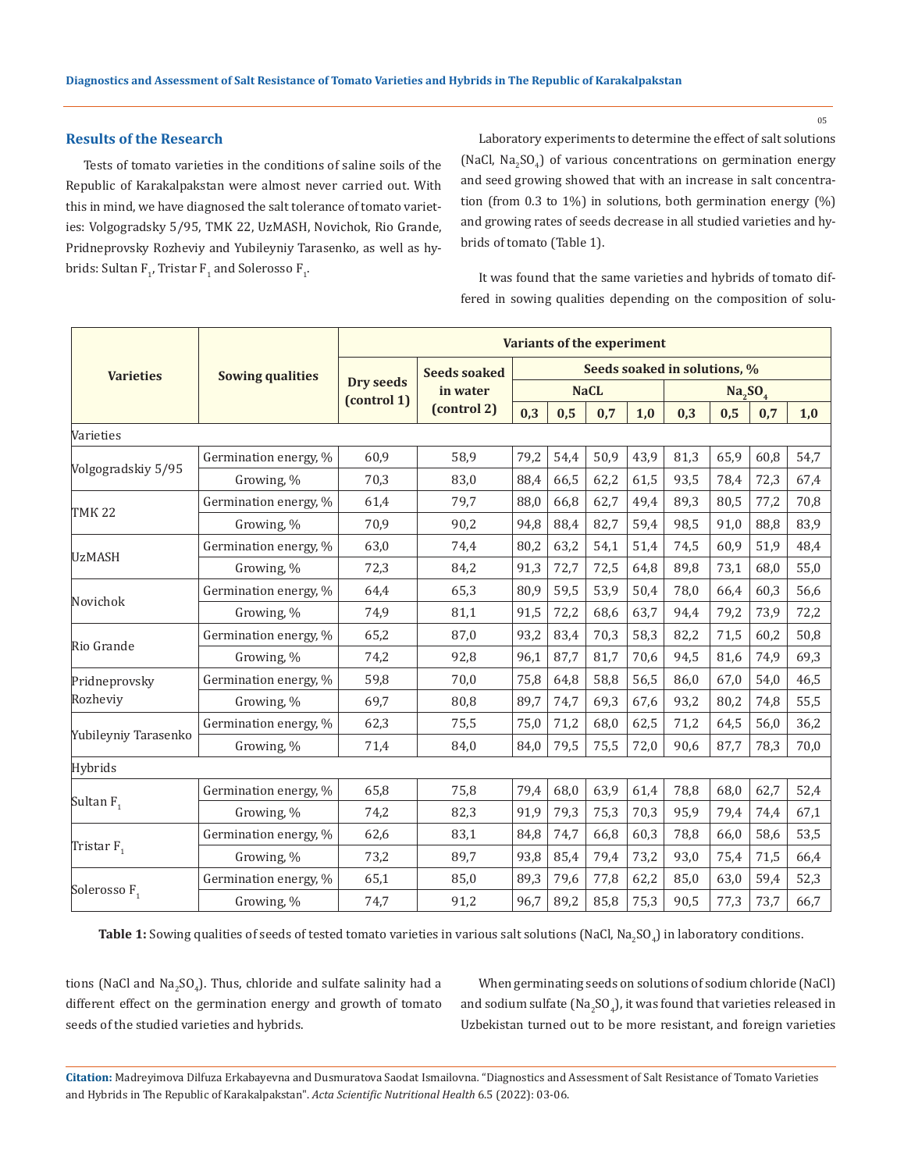# **Results of the Research**

Tests of tomato varieties in the conditions of saline soils of the Republic of Karakalpakstan were almost never carried out. With this in mind, we have diagnosed the salt tolerance of tomato varieties: Volgogradsky 5/95, TMK 22, UzMASH, Novichok, Rio Grande, Pridneprovsky Rozheviy and Yubileyniy Tarasenko, as well as hybrids: Sultan F<sub>1</sub>, Tristar F<sub>1</sub> and Solerosso F<sub>1</sub>.

Laboratory experiments to determine the effect of salt solutions (NaCl, Na<sub>2</sub>SO<sub>4</sub>) of various concentrations on germination energy and seed growing showed that with an increase in salt concentration (from 0.3 to 1%) in solutions, both germination energy (%) and growing rates of seeds decrease in all studied varieties and hybrids of tomato (Table 1).

It was found that the same varieties and hybrids of tomato differed in sowing qualities depending on the composition of solu-

| <b>Varieties</b>          | <b>Sowing qualities</b> | Variants of the experiment      |                         |                              |      |      |      |                                 |      |      |      |
|---------------------------|-------------------------|---------------------------------|-------------------------|------------------------------|------|------|------|---------------------------------|------|------|------|
|                           |                         | <b>Dry seeds</b><br>(control 1) | <b>Seeds soaked</b>     | Seeds soaked in solutions, % |      |      |      |                                 |      |      |      |
|                           |                         |                                 | in water<br>(control 2) | <b>NaCL</b>                  |      |      |      | Na <sub>2</sub> SO <sub>4</sub> |      |      |      |
|                           |                         |                                 |                         | 0,3                          | 0,5  | 0,7  | 1,0  | 0,3                             | 0,5  | 0,7  | 1,0  |
| Varieties                 |                         |                                 |                         |                              |      |      |      |                                 |      |      |      |
| Volgogradskiy 5/95        | Germination energy, %   | 60,9                            | 58,9                    | 79,2                         | 54,4 | 50,9 | 43,9 | 81,3                            | 65,9 | 60,8 | 54,7 |
|                           | Growing, %              | 70,3                            | 83,0                    | 88,4                         | 66,5 | 62,2 | 61,5 | 93,5                            | 78,4 | 72,3 | 67,4 |
| <b>TMK 22</b>             | Germination energy, %   | 61,4                            | 79,7                    | 88,0                         | 66,8 | 62,7 | 49,4 | 89,3                            | 80,5 | 77,2 | 70,8 |
|                           | Growing, %              | 70,9                            | 90,2                    | 94,8                         | 88,4 | 82,7 | 59,4 | 98,5                            | 91,0 | 88,8 | 83,9 |
| <b>UzMASH</b>             | Germination energy, %   | 63,0                            | 74,4                    | 80,2                         | 63,2 | 54,1 | 51,4 | 74,5                            | 60,9 | 51,9 | 48,4 |
|                           | Growing, %              | 72,3                            | 84,2                    | 91,3                         | 72,7 | 72,5 | 64,8 | 89,8                            | 73,1 | 68,0 | 55,0 |
| Novichok                  | Germination energy, %   | 64,4                            | 65,3                    | 80,9                         | 59,5 | 53,9 | 50,4 | 78,0                            | 66,4 | 60,3 | 56,6 |
|                           | Growing, %              | 74,9                            | 81,1                    | 91,5                         | 72,2 | 68,6 | 63,7 | 94,4                            | 79,2 | 73,9 | 72,2 |
| Rio Grande                | Germination energy, %   | 65,2                            | 87,0                    | 93,2                         | 83,4 | 70,3 | 58,3 | 82,2                            | 71,5 | 60,2 | 50,8 |
|                           | Growing, %              | 74,2                            | 92,8                    | 96,1                         | 87,7 | 81,7 | 70,6 | 94,5                            | 81,6 | 74,9 | 69,3 |
| Pridneprovsky<br>Rozheviy | Germination energy, %   | 59,8                            | 70,0                    | 75,8                         | 64,8 | 58,8 | 56,5 | 86,0                            | 67,0 | 54,0 | 46,5 |
|                           | Growing, %              | 69,7                            | 80,8                    | 89,7                         | 74,7 | 69,3 | 67,6 | 93,2                            | 80,2 | 74,8 | 55,5 |
| Yubileyniy Tarasenko      | Germination energy, %   | 62,3                            | 75,5                    | 75,0                         | 71,2 | 68,0 | 62,5 | 71,2                            | 64,5 | 56,0 | 36,2 |
|                           | Growing, %              | 71,4                            | 84,0                    | 84,0                         | 79,5 | 75,5 | 72,0 | 90,6                            | 87,7 | 78,3 | 70,0 |
| Hybrids                   |                         |                                 |                         |                              |      |      |      |                                 |      |      |      |
| Sultan $F_1$              | Germination energy, %   | 65,8                            | 75,8                    | 79,4                         | 68,0 | 63,9 | 61,4 | 78,8                            | 68,0 | 62,7 | 52,4 |
|                           | Growing, %              | 74,2                            | 82,3                    | 91,9                         | 79,3 | 75,3 | 70,3 | 95,9                            | 79,4 | 74,4 | 67,1 |
| Tristar F.                | Germination energy, %   | 62,6                            | 83,1                    | 84,8                         | 74,7 | 66,8 | 60,3 | 78,8                            | 66,0 | 58,6 | 53,5 |
|                           | Growing, %              | 73,2                            | 89,7                    | 93,8                         | 85,4 | 79,4 | 73,2 | 93,0                            | 75,4 | 71,5 | 66,4 |
| Solerosso F <sub>1</sub>  | Germination energy, %   | 65,1                            | 85,0                    | 89,3                         | 79,6 | 77,8 | 62,2 | 85,0                            | 63,0 | 59,4 | 52,3 |
|                           | Growing, %              | 74,7                            | 91,2                    | 96,7                         | 89,2 | 85,8 | 75,3 | 90,5                            | 77,3 | 73,7 | 66,7 |

**Table 1:** Sowing qualities of seeds of tested tomato varieties in various salt solutions (NaCl, Na<sub>2</sub>SO<sub>4</sub>) in laboratory conditions.

tions (NaCl and Na<sub>2</sub>SO<sub>4</sub>). Thus, chloride and sulfate salinity had a different effect on the germination energy and growth of tomato seeds of the studied varieties and hybrids.

When germinating seeds on solutions of sodium chloride (NaCl) and sodium sulfate (Na<sub>2</sub>SO<sub>4</sub>), it was found that varieties released in Uzbekistan turned out to be more resistant, and foreign varieties

**Citation:** Madreyimova Dilfuza Erkabayevna and Dusmuratova Saodat Ismailovna*.* "Diagnostics and Assessment of Salt Resistance of Tomato Varieties and Hybrids in The Republic of Karakalpakstan". *Acta Scientific Nutritional Health* 6.5 (2022): 03-06.

05